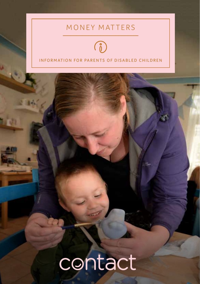### MONEY MATTERS



#### INFORMATION FOR PARENTS OF DISABLED CHILDREN

# contact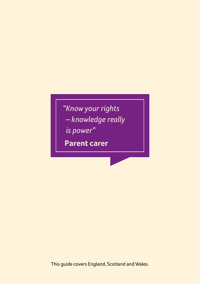# *"Know your rights – knowledge really*

*is power"*

**Parent carer** 

This guide covers England, Scotland and Wales.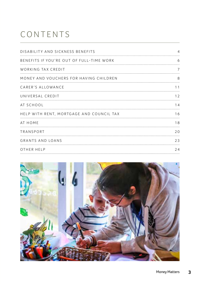# CONTENTS

| DISABILITY AND SICKNESS BENEFITS         |    |
|------------------------------------------|----|
| BENEFITS IF YOU'RE OUT OF FULL-TIME WORK | h  |
| WORKING TAX CREDIT                       |    |
| MONEY AND VOUCHERS FOR HAVING CHILDREN   | Χ  |
| CARER'S ALLOWANCE                        |    |
| UNIVERSAL CREDIT                         | 12 |
| AT SCHOOL                                | 14 |
| HELP WITH RENT, MORTGAGE AND COUNCIL TAX | 16 |
| AT HOME                                  | 18 |
| TRANSPORT                                | 20 |
| <b>GRANTS AND LOANS</b>                  | フ3 |
| OTHER HELP                               | 24 |

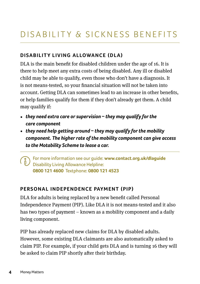# DISABILITY & SICKNESS BENEFITS

#### **Disability Living Allowance (DLA)**

DLA is the main benefit for disabled children under the age of 16. It is there to help meet any extra costs of being disabled. Any ill or disabled child may be able to qualify, even those who don't have a diagnosis. It is not means-tested, so your financial situation will not be taken into account. Getting DLA can sometimes lead to an increase in other benefits, or help families qualify for them if they don't already get them. A child may qualify if:

- **•** *they need extra care or supervision* **–** *they may qualify for the care component*
- **•** *they need help getting around* **–** *they may qualify for the mobility component. The higher rate of the mobility component can give access to the Motability Scheme to lease a car.*

 For more information see our guide: **www.contact.org.uk/dlaguide** Disability Living Allowance Helpline: **0800 121 4600** Textphone: **0800 121 4523**

#### **PERSONAL INDEPENDENCE PAYMENT (PIP)**

DLA for adults is being replaced by a new benefit called Personal Independence Payment (PIP). Like DLA it is not means-tested and it also has two types of payment – known as a mobility component and a daily living component.

PIP has already replaced new claims for DLA by disabled adults. However, some existing DLA claimants are also automatically asked to claim PIP. For example, if your child gets DLA and is turning 16 they will be asked to claim PIP shortly after their birthday.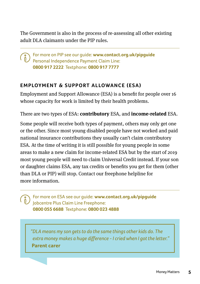The Government is also in the process of re-assessing all other existing adult DLA claimants under the PIP rules.

For more on PIP see our guide: **www.contact.org.uk/pipguide** Personal Independence Payment Claim Line: **0800 917 2222** Textphone: **0800 917 7777**

#### **Employment & Support Allowance (ESA)**

Employment and Support Allowance (ESA) is a benefit for people over 16 whose capacity for work is limited by their health problems.

There are two types of ESA: **contributory** ESA, and **income-related** ESA.

Some people will receive both types of payment, others may only get one or the other. Since most young disabled people have not worked and paid national insurance contributions they usually can't claim contributory ESA. At the time of writing it is still possible for young people in some areas to make a new claim for income-related ESA but by the start of 2019 most young people will need to claim Universal Credit instead. If your son or daughter claims ESA, any tax credits or benefits you get for them (other than DLA or PIP) will stop. Contact our freephone helpline for more information.

 For more on ESA see our guide: **www.contact.org.uk/pipguide** Jobcentre Plus Claim Line Freephone: **0800 055 6688** Textphone: **0800 023 4888**

*"DLA means my son gets to do the same things other kids do. The extra money makes a huge difference - I cried when I got the letter."* **Parent carer**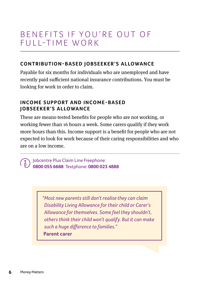### BENEFITS IF YOU'RE OUT OF  $F \cup I$  l-time w o RK

#### **CONTRIBUTION-BASED IOBSEEKER'S ALLOWANCE**

Payable for six months for individuals who are unemployed and have recently paid sufficient national insurance contributions. You must be looking for work in order to claim.

#### **Income Support and income-based JOBSEEKER'S ALLOWANCE**

These are means-tested benefits for people who are not working, or working fewer than 16 hours a week. Some carers qualify if they work more hours than this. Income support is a benefit for people who are not expected to look for work because of their caring responsibilities and who are on a low income.

Jobcentre Plus Claim Line Freephone: **0800 055 6688** Textphone: **0800 023 4888**

> *"Most new parents still don't realise they can claim Disability Living Allowance for their child or Carer's Allowance for themselves. Some feel they shouldn't, others think their child won't qualify. But it can make such a huge difference to families."* **Parent carer**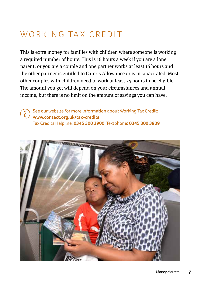# WORKING TAX CREDIT

This is extra money for families with children where someone is working a required number of hours. This is 16 hours a week if you are a lone parent, or you are a couple and one partner works at least 16 hours and the other partner is entitled to Carer's Allowance or is incapacitated. Most other couples with children need to work at least 24 hours to be eligible. The amount you get will depend on your circumstances and annual income, but there is no limit on the amount of savings you can have.

See our website for more information about Working Tax Credit:  $\binom{8}{0}$ **www.contact.org.uk/tax-credits**  Tax Credits Helpline: **0345 300 3900** Textphone: **0345 300 3909**

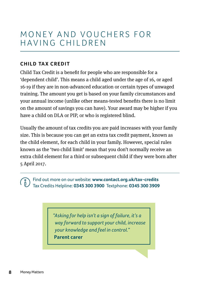### MONEY AND VOUCHERS FOR having children

#### **CHILD TAX CREDIT**

Child Tax Credit is a benefit for people who are responsible for a 'dependent child'. This means a child aged under the age of 16, or aged 16-19 if they are in non-advanced education or certain types of unwaged training. The amount you get is based on your family circumstances and your annual income (unlike other means-tested benefits there is no limit on the amount of savings you can have). Your award may be higher if you have a child on DLA or PIP, or who is registered blind.

Usually the amount of tax credits you are paid increases with your family size. This is because you can get an extra tax credit payment, known as the child element, for each child in your family. However, special rules known as the 'two child limit' mean that you don't normally receive an extra child element for a third or subsequent child if they were born after 5 April 2017.

Find out more on our website: **www.contact.org.uk/tax-credits** Tax Credits Helpline: **0345 300 3900** Textphone: **0345 300 3909**

> *"Asking for help isn't a sign of failure, it's a way forward to support your child, increase your knowledge and feel in control."* **Parent carer**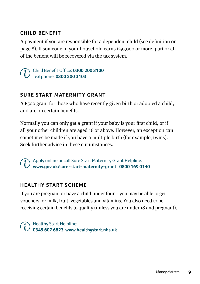#### **Child Benefit**

A payment if you are responsible for a dependent child (see definition on page 8). If someone in your household earns £50,000 or more, part or all of the benefit will be recovered via the tax system.

#### Child Benefit Office: **0300 200 3100** Textphone: **0300 200 3103**

#### **SURE START MATERNITY GRANT**

A £500 grant for those who have recently given birth or adopted a child, and are on certain benefits.

Normally you can only get a grant if your baby is your first child, or if all your other children are aged 16 or above. However, an exception can sometimes be made if you have a multiple birth (for example, twins). Seek further advice in these circumstances.

Apply online or call Sure Start Maternity Grant Helpline: **www.gov.uk/sure-start-maternity-grant 0800 169 0140** 

#### **HEALTHY START SCHEME**

If you are pregnant or have a child under four  $-$  you may be able to get vouchers for milk, fruit, vegetables and vitamins. You also need to be receiving certain benefits to qualify (unless you are under 18 and pregnant).

Healthy Start Helpline: **0345 607 6823 www.healthystart.nhs.uk**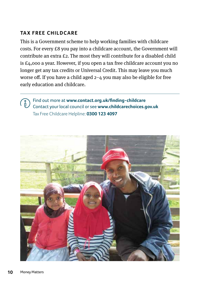#### **Ta x Free Childcare**

This is a Government scheme to help working families with childcare costs. For every £8 you pay into a childcare account, the Government will contribute an extra £2. The most they will contribute for a disabled child is £4,000 a year. However, if you open a tax free childcare account you no longer get any tax credits or Universal Credit. This may leave you much worse off. If you have a child aged 2–4 you may also be eligible for free early education and childcare.

Find out more at **[www.contact.org.uk/finding-childcare](https://contact.org.uk/finding-childcare)**  $\binom{8}{0}$ Contact your local council or see **www.childcarechoices.gov.uk** Tax Free Childcare Helpline: **0300 123 4097**

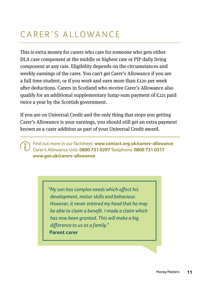# CARER'S ALLOWANCE

This is extra money for carers who care for someone who gets either DLA care component at the middle or highest rate or PIP daily living component at any rate. Eligibility depends on the circumstances and weekly earnings of the carer. You can't get Carer's Allowance if you are a full time student, or if you work and earn more than £120 per week after deductions. Carers in Scotland who receive Carer's Allowance also qualify for an additional supplementary lump-sum payment of £221 paid twice a year by the Scottish government.

If you are on Universal Credit and the only thing that stops you getting Carer's Allowance is your earnings, you should still get an extra payment known as a carer addition as part of your Universal Credit award.

 Find out more in our factsheet: **www.contact.org.uk/carers-allowance**  Carer's Allowance Unit: **0800 731 0297** Textphone: **0800 731 0317 www.gov.uk/carers-allowance**

> *"My son has complex needs which affect his development, motor skills and behaviour. However, it never entered my head that he may be able to claim a benefit. I made a claim which has now been granted. This will make a big difference to us as a family."* **Parent carer**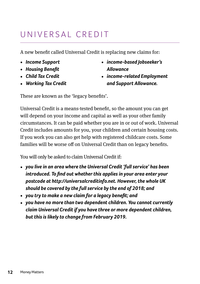# UNIVERSAI CREDIT

A new benefit called Universal Credit is replacing new claims for:

- **•** *Income Support*
- **•** *Housing Benefit*
- **•** *Child Tax Credit*
- **•** *Working Tax Credit*
- **•** *income-based Jobseeker's Allowance*
- **•** *income-related Employment and Support Allowance.*

These are known as the 'legacy benefits'.

Universal Credit is a means-tested benefit, so the amount you can get will depend on your income and capital as well as your other family circumstances. It can be paid whether you are in or out of work. Universal Credit includes amounts for you, your children and certain housing costs. If you work you can also get help with registered childcare costs. Some families will be worse off on Universal Credit than on legacy benefits.

You will only be asked to claim Universal Credit if:

- **•** *you live in an area where the Universal Credit 'full service' has been introduced. To find out whether this applies in your area enter your postcode at http://universalcreditinfo.net. However, the whole UK should be covered by the full service by the end of 2018; and*
- **•** *you try to make a new claim for a legacy benefit; and*
- **•** *you have no more than two dependent children. You cannot currently claim Universal Credit if you have three or more dependent children, but this is likely to change from February 2019.*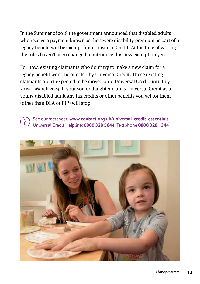In the Summer of 2018 the government announced that disabled adults who receive a payment known as the severe disability premium as part of a legacy benefit will be exempt from Universal Credit. At the time of writing the rules haven't been changed to introduce this new exemption yet.

For now, existing claimants who don't try to make a new claim for a legacy benefit won't be affected by Universal Credit. These existing claimants aren't expected to be moved onto Universal Credit until July 2019 – March 2023. If your son or daughter claims Universal Credit as a young disabled adult any tax credits or other benefits you get for them (other than DLA or PIP) will stop.

See our factsheet: **www.contact.org.uk/universal-credit-essentials**  Universal Credit Helpline: **0800 328 5644** Textphone **0800 328 1344**

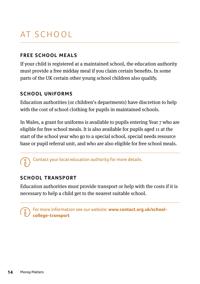# At s chool

#### **Free school meals**

If your child is registered at a maintained school, the education authority must provide a free midday meal if you claim certain benefits. In some parts of the UK certain other young school children also qualify.

#### **School uniforms**

Education authorities (or children's departments) have discretion to help with the cost of school clothing for pupils in maintained schools.

In Wales, a grant for uniforms is available to pupils entering Year 7 who are eligible for free school meals. It is also available for pupils aged 11 at the start of the school year who go to a special school, special needs resource base or pupil referral unit, and who are also eligible for free school meals.

Contact your local education authority for more details.

#### **SCHOOL TRANSPORT**

Education authorities must provide transport or help with the costs if it is necessary to help a child get to the nearest suitable school.

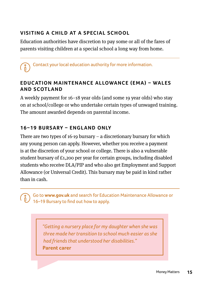#### **V isiti ng a child at a special school**

Education authorities have discretion to pay some or all of the fares of parents visiting children at a special school a long way from home.

Contact your local education authority for more information.

#### **EDUCATION MAINTENANCE ALLOWANCE (EMA) - WALES and Scotl a n d**

A weekly payment for 16–18 year olds (and some 19 year olds) who stay on at school/college or who undertake certain types of unwaged training. The amount awarded depends on parental income.

#### 16–19 BURSARY – ENGLAND ONLY

There are two types of 16-19 bursary – a discretionary bursary for which any young person can apply. However, whether you receive a payment is at the discretion of your school or college. There is also a vulnerable student bursary of £1,200 per year for certain groups, including disabled students who receive DLA/PIP and who also get Employment and Support Allowance (or Universal Credit). This bursary may be paid in kind rather than in cash.

Go to **www.gov.uk** and search for Education Maintenance Allowance or 16–19 Bursary to find out how to apply.

> *"Getting a nursery place for my daughter when she was three made her transition to school much easier as she had friends that understood her disabilities."* **Parent carer**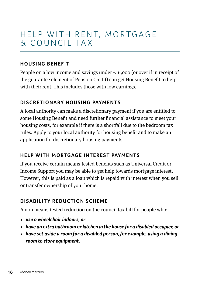# HELP WITH RENT, MORTGAGE & council ta x

#### **Ho usi ng Benefit**

People on a low income and savings under £16,000 (or over if in receipt of the guarantee element of Pension Credit) can get Housing Benefit to help with their rent. This includes those with low earnings.

#### **DISCRETIONARY HOUSING PAYMENTS**

A local authority can make a discretionary payment if you are entitled to some Housing Benefit and need further financial assistance to meet your housing costs, for example if there is a shortfall due to the bedroom tax rules. Apply to your local authority for housing benefit and to make an application for discretionary housing payments.

#### **HELP WITH MORTGAGE INTEREST PAYMENTS**

If you receive certain means-tested benefits such as Universal Credit or Income Support you may be able to get help towards mortgage interest. However, this is paid as a loan which is repaid with interest when you sell or transfer ownership of your home.

#### **DISABILITY REDUCTION SCHEME**

A non means-tested reduction on the council tax bill for people who:

- **•** *use a wheelchair indoors, or*
- **•** *have an extra bathroom or kitchen in the house for a disabled occupier, or*
- **•** *have set aside a room for a disabled person, for example, using a dining room to store equipment.*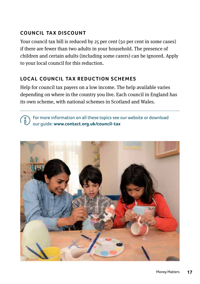#### **Council tax discount**

Your council tax bill is reduced by 25 per cent (50 per cent in some cases) if there are fewer than two adults in your household. The presence of children and certain adults (including some carers) can be ignored. Apply to your local council for this reduction.

#### **LOCAL COUNCIL TAX REDUCTION SCHEMES**

Help for council tax payers on a low income. The help available varies depending on where in the country you live. Each council in England has its own scheme, with national schemes in Scotland and Wales.

For more information on all these topics see our website or download  $\binom{8}{0}$ our guide: **www.contact.org.uk/council-tax** 

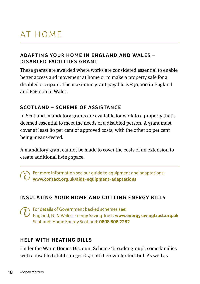# AT HOMF

#### **ADAPTING YOUR HOME IN FNGLAND AND WALFS – DISABLED FACILITIES GRANT**

These grants are awarded where works are considered essential to enable better access and movement at home or to make a property safe for a disabled occupant. The maximum grant payable is £30,000 in England and £36,000 in Wales.

#### **SCOTLAND – SCHEME OF ASSISTANCE**

In Scotland, mandatory grants are available for work to a property that's deemed essential to meet the needs of a disabled person. A grant must cover at least 80 per cent of approved costs, with the other 20 per cent being means-tested.

A mandatory grant cannot be made to cover the costs of an extension to create additional living space.

For more information see our guide to equipment and adaptations: **www.contact.org.uk/aids-equipment-adaptations**

#### **INSULATING YOUR HOME AND CUTTING ENERGY BILLS**

For details of Government backed schemes see: England, NI & Wales: Energy Saving Trust: **[www.energysavingtrust.org.uk](http://www.energysavingtrust.org.uk)**  Scotland: Home Energy Scotland: **0808 808 2282** 

#### **HELP WITH HEATING BILLS**

Under the Warm Homes Discount Scheme 'broader group', some families with a disabled child can get £140 off their winter fuel bill. As well as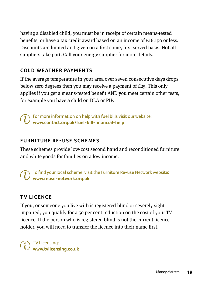having a disabled child, you must be in receipt of certain means-tested benefits, or have a tax credit award based on an income of £16,190 or less. Discounts are limited and given on a first come, first served basis. Not all suppliers take part. Call your energy supplier for more details.

#### **COLD WEATHER PAYMENTS**

If the average temperature in your area over seven consecutive days drops below zero degrees then you may receive a payment of £25. This only applies if you get a means-tested benefit AND you meet certain other tests, for example you have a child on DLA or PIP.

For more information on help with fuel bills visit our website: **www.contact.org.uk/fuel-bill-financial-help** 

#### **FURNITURE RE-USE SCHEMES**

These schemes provide low-cost second hand and reconditioned furniture and white goods for families on a low income.

To find your local scheme, visit the Furniture Re-use Network website: **[www.reuse-network.org.uk](https://reuse-network.org.uk/)**

#### **TV Lice nce**

If you, or someone you live with is registered blind or severely sight impaired, you qualify for a 50 per cent reduction on the cost of your TV licence. If the person who is registered blind is not the current licence holder, you will need to transfer the licence into their name first.

TV Licensing: **www.tvlicensing.co.uk**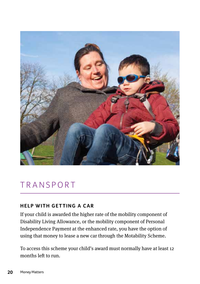

### **TRANSPORT**

#### **HELP WITH GETTING A CAR**

If your child is awarded the higher rate of the mobility component of Disability Living Allowance, or the mobility component of Personal Independence Payment at the enhanced rate, you have the option of using that money to lease a new car through the Motability Scheme.

To access this scheme your child's award must normally have at least 12 months left to run.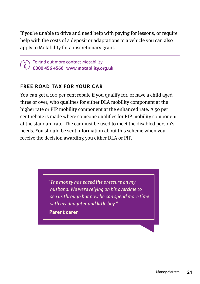If you're unable to drive and need help with paying for lessons, or require help with the costs of a deposit or adaptations to a vehicle you can also apply to Motability for a discretionary grant.

To find out more contact Motability: **0300 456 4566 [www.motability.org.uk](https://www.motability.org.uk/)**

#### **FREE ROAD TAX FOR YOUR CAR**

You can get a 100 per cent rebate if you qualify for, or have a child aged three or over, who qualifies for either DLA mobility component at the higher rate or PIP mobility component at the enhanced rate. A 50 per cent rebate is made where someone qualifies for PIP mobility component at the standard rate. The car must be used to meet the disabled person's needs. You should be sent information about this scheme when you receive the decision awarding you either DLA or PIP.

> *"The money has eased the pressure on my husband. We were relying on his overtime to see us through but now he can spend more time with my daughter and little boy."*

**Parent carer**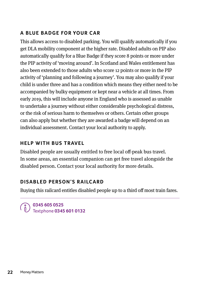#### **A BLUE BADGE FOR YOUR CAR**

This allows access to disabled parking. You will qualify automatically if you get DLA mobility component at the higher rate. Disabled adults on PIP also automatically qualify for a Blue Badge if they score 8 points or more under the PIP activity of 'moving around'. In Scotland and Wales entitlement has also been extended to those adults who score 12 points or more in the PIP activity of 'planning and following a journey'. You may also qualify if your child is under three and has a condition which means they either need to be accompanied by bulky equipment or kept near a vehicle at all times. From early 2019, this will include anyone in England who is assessed as unable to undertake a journey without either considerable psychological distress, or the risk of serious harm to themselves or others. Certain other groups can also apply but whether they are awarded a badge will depend on an individual assessment. Contact your local authority to apply.

#### **HEIP WITH BUS TRAVEL**

Disabled people are usually entitled to free local off-peak bus travel. In some areas, an essential companion can get free travel alongside the disabled person. Contact your local authority for more details.

#### **Disabled Person's Railcard**

Buying this railcard entitles disabled people up to a third off most train fares.

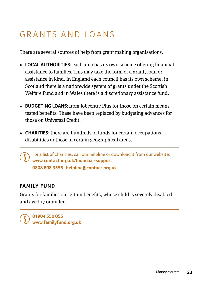# Grants and loans

There are several sources of help from grant making organisations.

- **• Local authorities:** each area has its own scheme offering financial assistance to families. This may take the form of a grant, loan or assistance in kind. In England each council has its own scheme, in Scotland there is a nationwide system of grants under the Scottish Welfare Fund and in Wales there is a discretionary assistance fund.
- **• Budgeting Loans:** from Jobcentre Plus for those on certain meanstested benefits. These have been replaced by budgeting advances for those on Universal Credit.
- **CHARITIES:** there are hundreds of funds for certain occupations, disabilities or those in certain geographical areas.

 For a list of charities, call our helpline or download it from our website: **www.contact.org.uk/financial-support 0808 808 3555 helpline@contact.org.uk** 

#### **FAMILY FUND**

Grants for families on certain benefits, whose child is severely disabled and aged 17 or under.

**01904 550 055 www.familyfund.org.uk**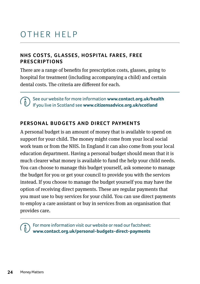# Other help

#### **NHS COSTS, GLASSES, HOSPITAL FARES, FREE pr escr iptions**

There are a range of benefits for prescription costs, glasses, going to hospital for treatment (including accompanying a child) and certain dental costs. The criteria are different for each.

 See our website for more information **[www.contact.org.uk/health](https://contact.org.uk/health)** If you live in Scotland see **www.citizensadvice.org.uk/scotland** 

#### **PERSONAL BUDGETS AND DIRECT PAYMENTS**

A personal budget is an amount of money that is available to spend on support for your child. The money might come from your local social work team or from the NHS. In England it can also come from your local education department. Having a personal budget should mean that it is much clearer what money is available to fund the help your child needs. You can choose to manage this budget yourself, ask someone to manage the budget for you or get your council to provide you with the services instead. If you choose to manage the budget yourself you may have the option of receiving direct payments. These are regular payments that you must use to buy services for your child. You can use direct payments to employ a care assistant or buy in services from an organisation that provides care.

 For more information visit our website or read our factsheet: **www.contact.org.uk/personal-budgets-direct-payments**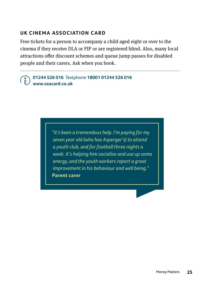#### **UK CINEMA ASSOCIATION CARD**

Free tickets for a person to accompany a child aged eight or over to the cinema if they receive DLA or PIP or are registered blind. Also, many local attractions offer discount schemes and queue jump passes for disabled people and their carers. Ask when you book.

#### **01244 526 016** Textphone **18001 01244 526 016 www.ceacard.co.uk**

 *"It's been a tremendous help. I'm paying for my seven year old (who has Asperger's) to attend a youth club, and for football three nights a week. It's helping him socialise and use up some energy, and the youth workers report a great improvement in his behaviour and well being."* **Parent carer**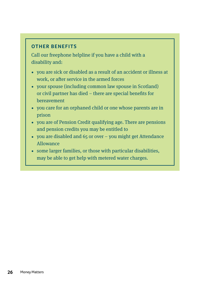#### **Other benefits**

Call our freephone helpline if you have a child with a disability and:

- **•** you are sick or disabled as a result of an accident or illness at work, or after service in the armed forces
- **•** your spouse (including common law spouse in Scotland) or civil partner has died – there are special benefits for bereavement
- **•** you care for an orphaned child or one whose parents are in prison
- **•** you are of Pension Credit qualifying age. There are pensions and pension credits you may be entitled to
- **•** you are disabled and 65 or over you might get Attendance Allowance
- **•** some larger families, or those with particular disabilities, may be able to get help with metered water charges.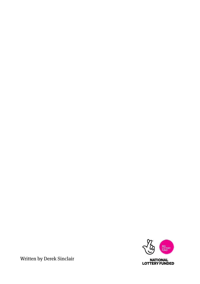

Written by Derek Sinclair

**NATIONAL<br>LOTTERY FUNDED**